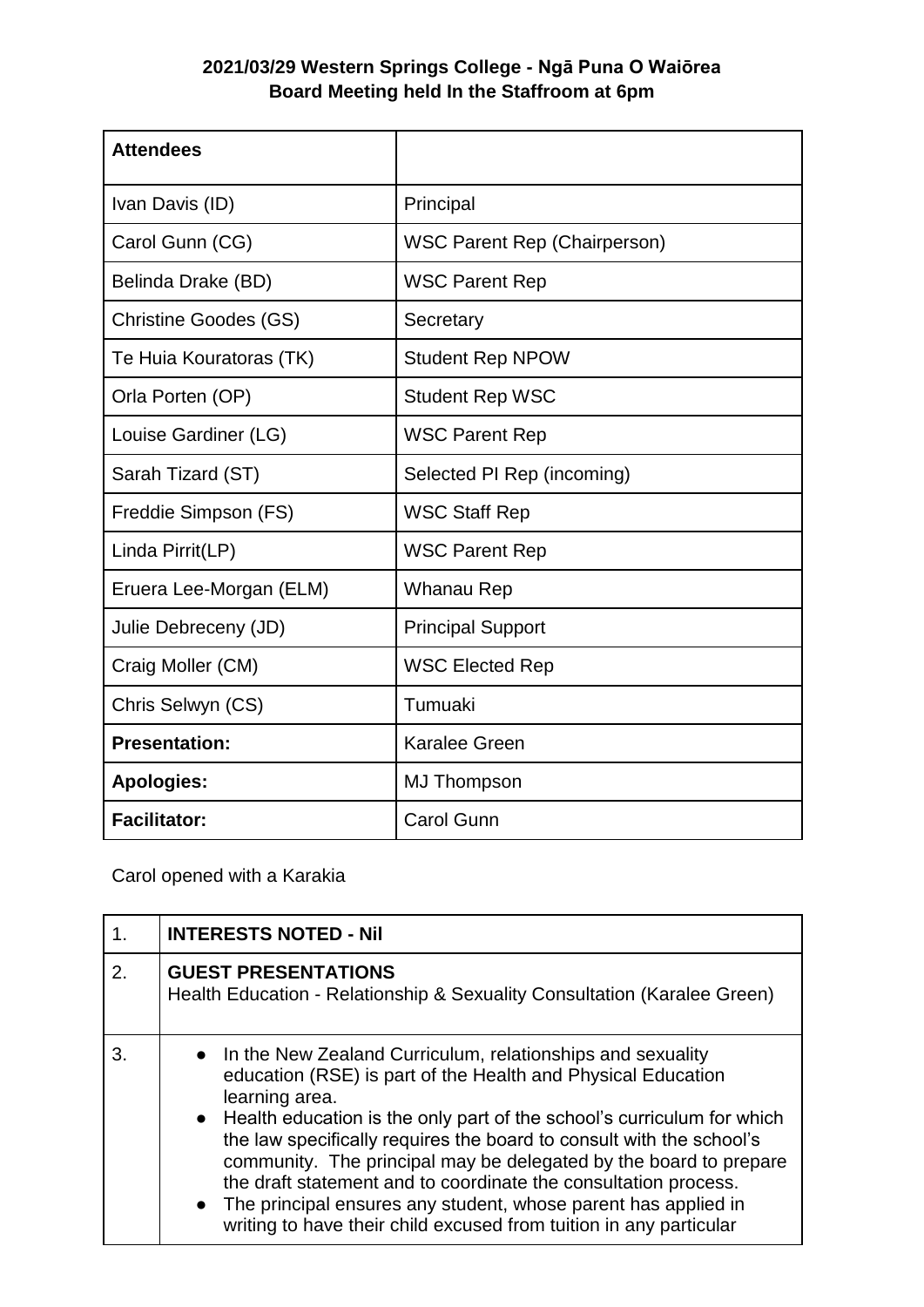## **2021/03/29 Western Springs College - Ngā Puna O Waiōrea Board Meeting held In the Staffroom at 6pm**

| <b>Attendees</b>             |                                     |
|------------------------------|-------------------------------------|
| Ivan Davis (ID)              | Principal                           |
| Carol Gunn (CG)              | <b>WSC Parent Rep (Chairperson)</b> |
| Belinda Drake (BD)           | <b>WSC Parent Rep</b>               |
| <b>Christine Goodes (GS)</b> | Secretary                           |
| Te Huia Kouratoras (TK)      | <b>Student Rep NPOW</b>             |
| Orla Porten (OP)             | <b>Student Rep WSC</b>              |
| Louise Gardiner (LG)         | <b>WSC Parent Rep</b>               |
| Sarah Tizard (ST)            | Selected PI Rep (incoming)          |
| Freddie Simpson (FS)         | <b>WSC Staff Rep</b>                |
| Linda Pirrit(LP)             | <b>WSC Parent Rep</b>               |
| Eruera Lee-Morgan (ELM)      | Whanau Rep                          |
| Julie Debreceny (JD)         | <b>Principal Support</b>            |
| Craig Moller (CM)            | <b>WSC Elected Rep</b>              |
| Chris Selwyn (CS)            | Tumuaki                             |
| <b>Presentation:</b>         | <b>Karalee Green</b>                |
| <b>Apologies:</b>            | <b>MJ Thompson</b>                  |
| <b>Facilitator:</b>          | <b>Carol Gunn</b>                   |

Carol opened with a Karakia

|    | <b>INTERESTS NOTED - Nil</b>                                                                                                                                                                                                                                                                                                                                                                                                                                                                                                                                                         |
|----|--------------------------------------------------------------------------------------------------------------------------------------------------------------------------------------------------------------------------------------------------------------------------------------------------------------------------------------------------------------------------------------------------------------------------------------------------------------------------------------------------------------------------------------------------------------------------------------|
| 2. | <b>GUEST PRESENTATIONS</b><br>Health Education - Relationship & Sexuality Consultation (Karalee Green)                                                                                                                                                                                                                                                                                                                                                                                                                                                                               |
| 3. | • In the New Zealand Curriculum, relationships and sexuality<br>education (RSE) is part of the Health and Physical Education<br>learning area.<br>• Health education is the only part of the school's curriculum for which<br>the law specifically requires the board to consult with the school's<br>community. The principal may be delegated by the board to prepare<br>the draft statement and to coordinate the consultation process.<br>• The principal ensures any student, whose parent has applied in<br>writing to have their child excused from tuition in any particular |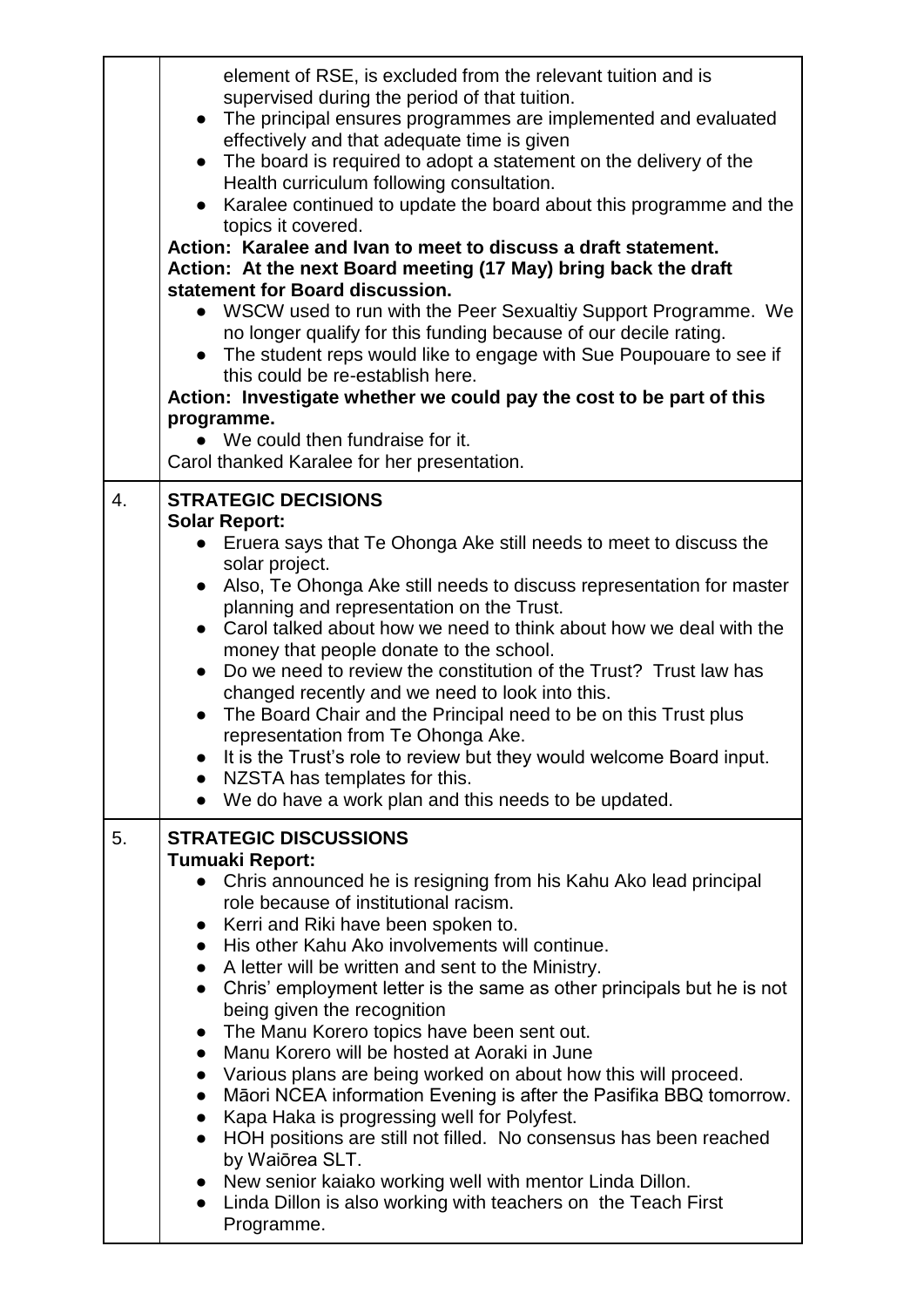|    | element of RSE, is excluded from the relevant tuition and is<br>supervised during the period of that tuition.<br>• The principal ensures programmes are implemented and evaluated<br>effectively and that adequate time is given<br>The board is required to adopt a statement on the delivery of the<br>$\bullet$<br>Health curriculum following consultation.<br>Karalee continued to update the board about this programme and the<br>topics it covered.<br>Action: Karalee and Ivan to meet to discuss a draft statement.<br>Action: At the next Board meeting (17 May) bring back the draft<br>statement for Board discussion.<br>WSCW used to run with the Peer Sexualtiy Support Programme. We<br>no longer qualify for this funding because of our decile rating.<br>The student reps would like to engage with Sue Poupouare to see if<br>this could be re-establish here.<br>Action: Investigate whether we could pay the cost to be part of this<br>programme.<br>We could then fundraise for it.<br>Carol thanked Karalee for her presentation.                             |
|----|-----------------------------------------------------------------------------------------------------------------------------------------------------------------------------------------------------------------------------------------------------------------------------------------------------------------------------------------------------------------------------------------------------------------------------------------------------------------------------------------------------------------------------------------------------------------------------------------------------------------------------------------------------------------------------------------------------------------------------------------------------------------------------------------------------------------------------------------------------------------------------------------------------------------------------------------------------------------------------------------------------------------------------------------------------------------------------------------|
| 4. | <b>STRATEGIC DECISIONS</b><br><b>Solar Report:</b><br>Eruera says that Te Ohonga Ake still needs to meet to discuss the<br>solar project.<br>Also, Te Ohonga Ake still needs to discuss representation for master<br>$\bullet$<br>planning and representation on the Trust.<br>Carol talked about how we need to think about how we deal with the<br>$\bullet$<br>money that people donate to the school.<br>Do we need to review the constitution of the Trust? Trust law has<br>$\bullet$<br>changed recently and we need to look into this.<br>The Board Chair and the Principal need to be on this Trust plus<br>$\bullet$<br>representation from Te Ohonga Ake.<br>It is the Trust's role to review but they would welcome Board input.<br>NZSTA has templates for this.<br>$\bullet$<br>We do have a work plan and this needs to be updated.<br>$\bullet$                                                                                                                                                                                                                         |
| 5. | <b>STRATEGIC DISCUSSIONS</b><br><b>Tumuaki Report:</b><br>Chris announced he is resigning from his Kahu Ako lead principal<br>$\bullet$<br>role because of institutional racism.<br>Kerri and Riki have been spoken to.<br>His other Kahu Ako involvements will continue.<br>$\bullet$<br>• A letter will be written and sent to the Ministry.<br>Chris' employment letter is the same as other principals but he is not<br>$\bullet$<br>being given the recognition<br>The Manu Korero topics have been sent out.<br>$\bullet$<br>Manu Korero will be hosted at Aoraki in June<br>$\bullet$<br>Various plans are being worked on about how this will proceed.<br>$\bullet$<br>Māori NCEA information Evening is after the Pasifika BBQ tomorrow.<br>$\bullet$<br>Kapa Haka is progressing well for Polyfest.<br>$\bullet$<br>HOH positions are still not filled. No consensus has been reached<br>by Waiōrea SLT.<br>New senior kaiako working well with mentor Linda Dillon.<br>$\bullet$<br>Linda Dillon is also working with teachers on the Teach First<br>$\bullet$<br>Programme. |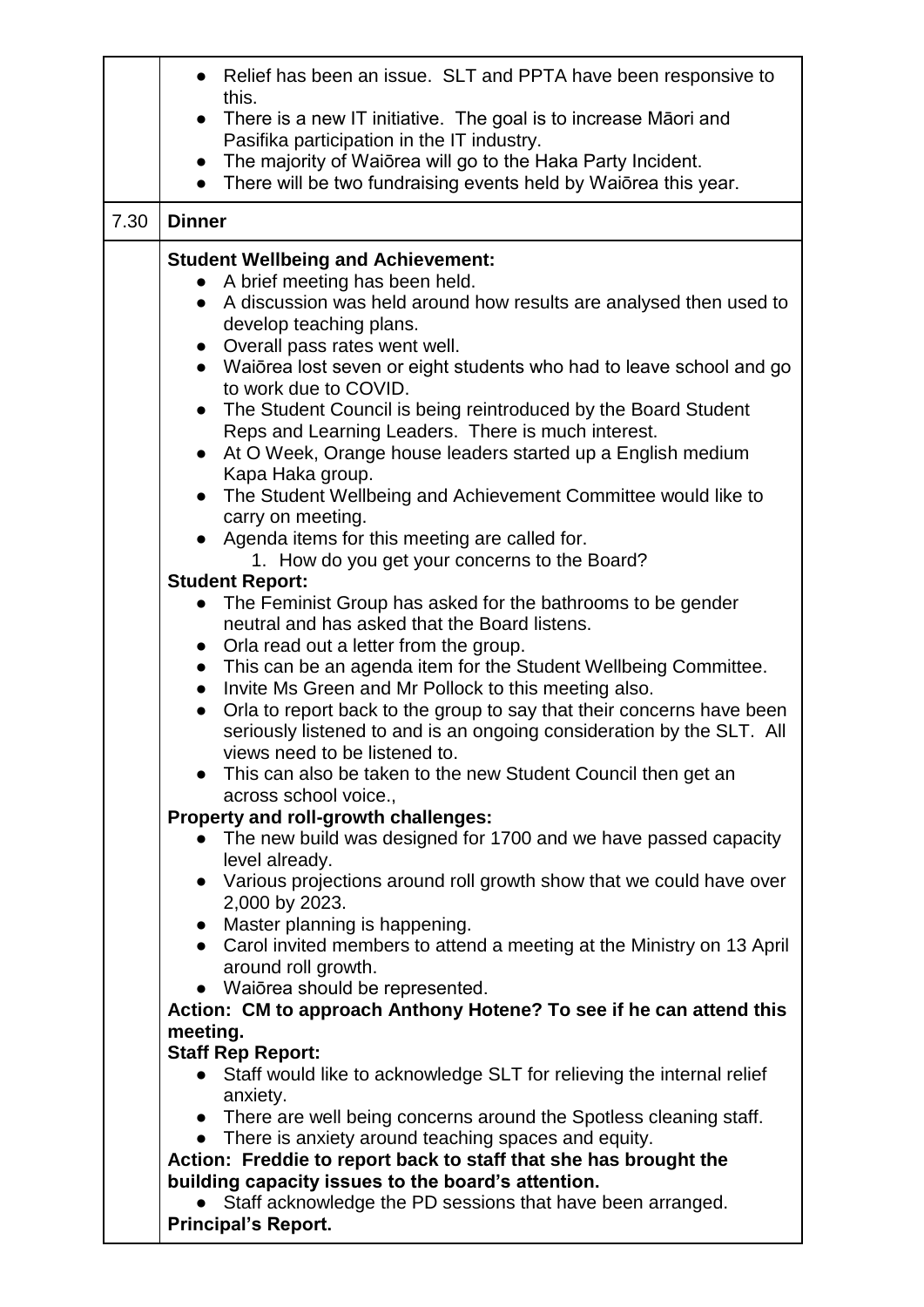|      | Relief has been an issue. SLT and PPTA have been responsive to                                                                             |  |  |
|------|--------------------------------------------------------------------------------------------------------------------------------------------|--|--|
|      | this.                                                                                                                                      |  |  |
|      | There is a new IT initiative. The goal is to increase Māori and<br>$\bullet$<br>Pasifika participation in the IT industry.                 |  |  |
|      | • The majority of Waiōrea will go to the Haka Party Incident.                                                                              |  |  |
|      | There will be two fundraising events held by Waiōrea this year.<br>$\bullet$                                                               |  |  |
| 7.30 | <b>Dinner</b>                                                                                                                              |  |  |
|      | <b>Student Wellbeing and Achievement:</b>                                                                                                  |  |  |
|      | A brief meeting has been held.                                                                                                             |  |  |
|      | A discussion was held around how results are analysed then used to<br>$\bullet$                                                            |  |  |
|      | develop teaching plans.                                                                                                                    |  |  |
|      | • Overall pass rates went well.                                                                                                            |  |  |
|      | • Waiorea lost seven or eight students who had to leave school and go                                                                      |  |  |
|      | to work due to COVID.<br>$\bullet$                                                                                                         |  |  |
|      | The Student Council is being reintroduced by the Board Student<br>Reps and Learning Leaders. There is much interest.                       |  |  |
|      | At O Week, Orange house leaders started up a English medium<br>$\bullet$                                                                   |  |  |
|      | Kapa Haka group.                                                                                                                           |  |  |
|      | The Student Wellbeing and Achievement Committee would like to<br>$\bullet$                                                                 |  |  |
|      | carry on meeting.<br>Agenda items for this meeting are called for.                                                                         |  |  |
|      | 1. How do you get your concerns to the Board?                                                                                              |  |  |
|      | <b>Student Report:</b>                                                                                                                     |  |  |
|      | The Feminist Group has asked for the bathrooms to be gender                                                                                |  |  |
|      | neutral and has asked that the Board listens.                                                                                              |  |  |
|      | Orla read out a letter from the group.<br>$\bullet$                                                                                        |  |  |
|      | This can be an agenda item for the Student Wellbeing Committee.<br>$\bullet$                                                               |  |  |
|      | Invite Ms Green and Mr Pollock to this meeting also.<br>Orla to report back to the group to say that their concerns have been<br>$\bullet$ |  |  |
|      | seriously listened to and is an ongoing consideration by the SLT. All                                                                      |  |  |
|      | views need to be listened to.                                                                                                              |  |  |
|      | This can also be taken to the new Student Council then get an                                                                              |  |  |
|      | across school voice.,                                                                                                                      |  |  |
|      | Property and roll-growth challenges:                                                                                                       |  |  |
|      | The new build was designed for 1700 and we have passed capacity                                                                            |  |  |
|      | level already.<br>Various projections around roll growth show that we could have over<br>$\bullet$                                         |  |  |
|      | 2,000 by 2023.                                                                                                                             |  |  |
|      | Master planning is happening.                                                                                                              |  |  |
|      | • Carol invited members to attend a meeting at the Ministry on 13 April                                                                    |  |  |
|      | around roll growth.<br>• Waiōrea should be represented.                                                                                    |  |  |
|      | Action: CM to approach Anthony Hotene? To see if he can attend this                                                                        |  |  |
|      | meeting.                                                                                                                                   |  |  |
|      | <b>Staff Rep Report:</b>                                                                                                                   |  |  |
|      | Staff would like to acknowledge SLT for relieving the internal relief                                                                      |  |  |
|      | anxiety.                                                                                                                                   |  |  |
|      | • There are well being concerns around the Spotless cleaning staff.                                                                        |  |  |
|      | • There is anxiety around teaching spaces and equity.<br>Action: Freddie to report back to staff that she has brought the                  |  |  |
|      | building capacity issues to the board's attention.                                                                                         |  |  |
|      | Staff acknowledge the PD sessions that have been arranged.                                                                                 |  |  |
|      | <b>Principal's Report.</b>                                                                                                                 |  |  |